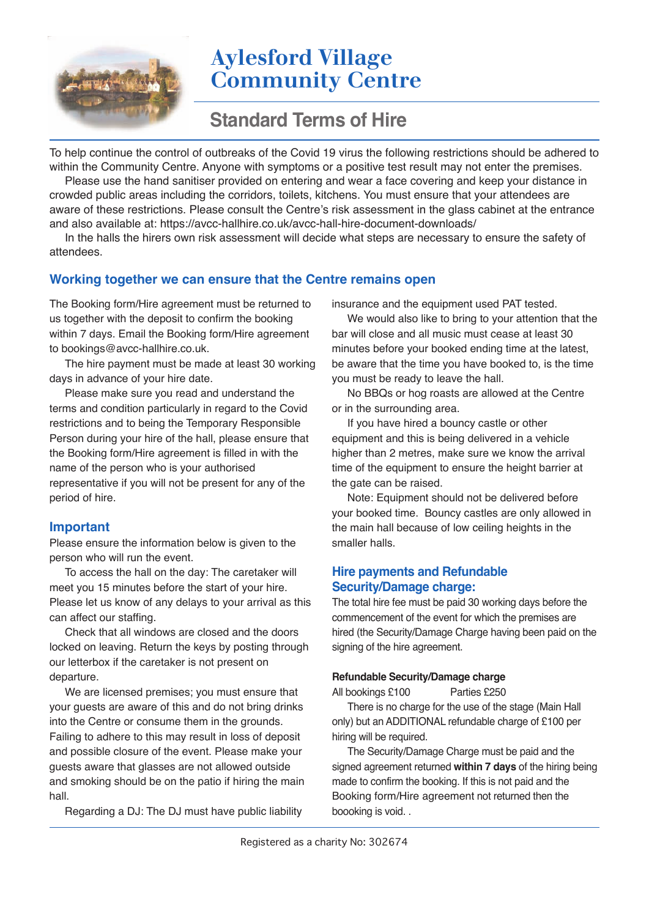# **Aylesford Village Community Centre**

## **Standard Terms of Hire**

To help continue the control of outbreaks of the Covid 19 virus the following restrictions should be adhered to within the Community Centre. Anyone with symptoms or a positive test result may not enter the premises.

Please use the hand sanitiser provided on entering and wear a face covering and keep your distance in crowded public areas including the corridors, toilets, kitchens. You must ensure that your attendees are aware of these restrictions. Please consult the Centre's risk assessment in the glass cabinet at the entrance and also available at: https://avcc-hallhire.co.uk/avcc-hall-hire-document-downloads/

In the halls the hirers own risk assessment will decide what steps are necessary to ensure the safety of attendees.

## **Working together we can ensure that the Centre remains open**

The Booking form/Hire agreement must be returned to us together with the deposit to confirm the booking within 7 days. Email the Booking form/Hire agreement to bookings@avcc-hallhire.co.uk.

The hire payment must be made at least 30 working days in advance of your hire date.

Please make sure you read and understand the terms and condition particularly in regard to the Covid restrictions and to being the Temporary Responsible Person during your hire of the hall, please ensure that the Booking form/Hire agreement is filled in with the name of the person who is your authorised representative if you will not be present for any of the period of hire.

#### **Important**

Please ensure the information below is given to the person who will run the event.

To access the hall on the day: The caretaker will meet you 15 minutes before the start of your hire. Please let us know of any delays to your arrival as this can affect our staffing.

Check that all windows are closed and the doors locked on leaving. Return the keys by posting through our letterbox if the caretaker is not present on departure.

We are licensed premises; you must ensure that your guests are aware of this and do not bring drinks into the Centre or consume them in the grounds. Failing to adhere to this may result in loss of deposit and possible closure of the event. Please make your guests aware that glasses are not allowed outside and smoking should be on the patio if hiring the main hall.

Regarding a DJ: The DJ must have public liability

insurance and the equipment used PAT tested.

We would also like to bring to your attention that the bar will close and all music must cease at least 30 minutes before your booked ending time at the latest, be aware that the time you have booked to, is the time you must be ready to leave the hall.

No BBQs or hog roasts are allowed at the Centre or in the surrounding area.

If you have hired a bouncy castle or other equipment and this is being delivered in a vehicle higher than 2 metres, make sure we know the arrival time of the equipment to ensure the height barrier at the gate can be raised.

Note: Equipment should not be delivered before your booked time. Bouncy castles are only allowed in the main hall because of low ceiling heights in the smaller halls.

### **Hire payments and Refundable Security/Damage charge:**

The total hire fee must be paid 30 working days before the commencement of the event for which the premises are hired (the Security/Damage Charge having been paid on the signing of the hire agreement.

#### **Refundable Security/Damage charge**

All bookings £100 Parties £250

There is no charge for the use of the stage (Main Hall only) but an ADDITIONAL refundable charge of £100 per hiring will be required.

The Security/Damage Charge must be paid and the signed agreement returned **within 7 days** of the hiring being made to confirm the booking. If this is not paid and the Booking form/Hire agreement not returned then the boooking is void. .